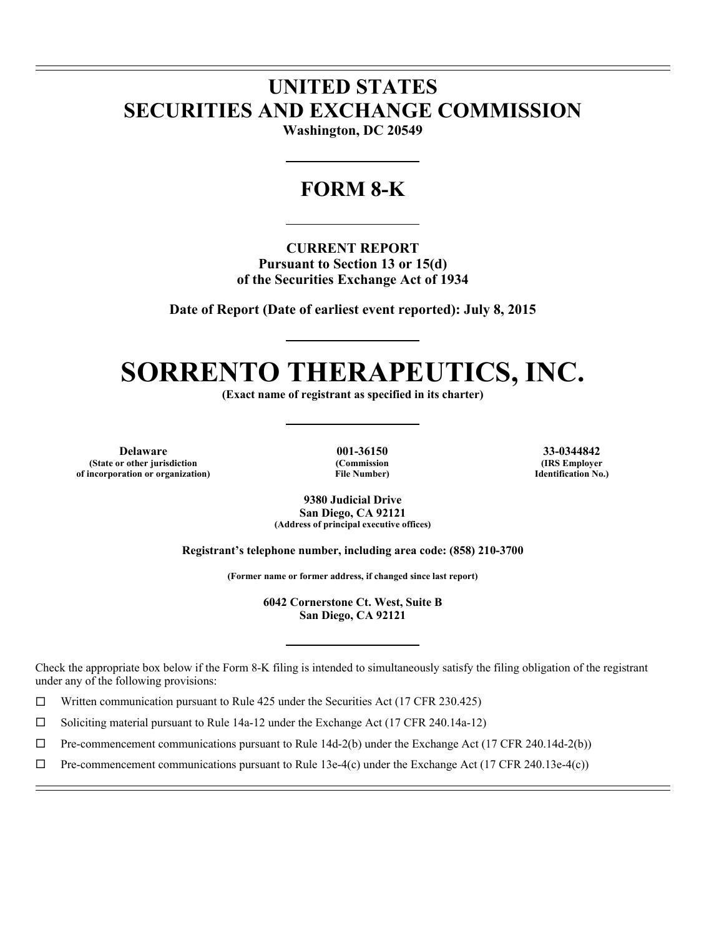# **UNITED STATES SECURITIES AND EXCHANGE COMMISSION**

**Washington, DC 20549** 

# **FORM 8-K**

**CURRENT REPORT Pursuant to Section 13 or 15(d) of the Securities Exchange Act of 1934** 

**Date of Report (Date of earliest event reported): July 8, 2015** 

# **SORRENTO THERAPEUTICS, INC.**

**(Exact name of registrant as specified in its charter)** 

**Delaware 001-36150 33-0344842 (State or other jurisdiction of incorporation or organization)**

l l

 $\overline{a}$ 

**(Commission File Number)**

**(IRS Employer Identification No.)**

**9380 Judicial Drive San Diego, CA 92121 (Address of principal executive offices)** 

**Registrant's telephone number, including area code: (858) 210-3700** 

**(Former name or former address, if changed since last report)** 

**6042 Cornerstone Ct. West, Suite B San Diego, CA 92121** 

Check the appropriate box below if the Form 8-K filing is intended to simultaneously satisfy the filing obligation of the registrant under any of the following provisions:

 $\Box$  Written communication pursuant to Rule 425 under the Securities Act (17 CFR 230.425)

 $\Box$  Soliciting material pursuant to Rule 14a-12 under the Exchange Act (17 CFR 240.14a-12)

 $\Box$  Pre-commencement communications pursuant to Rule 14d-2(b) under the Exchange Act (17 CFR 240.14d-2(b))

 $\Box$  Pre-commencement communications pursuant to Rule 13e-4(c) under the Exchange Act (17 CFR 240.13e-4(c))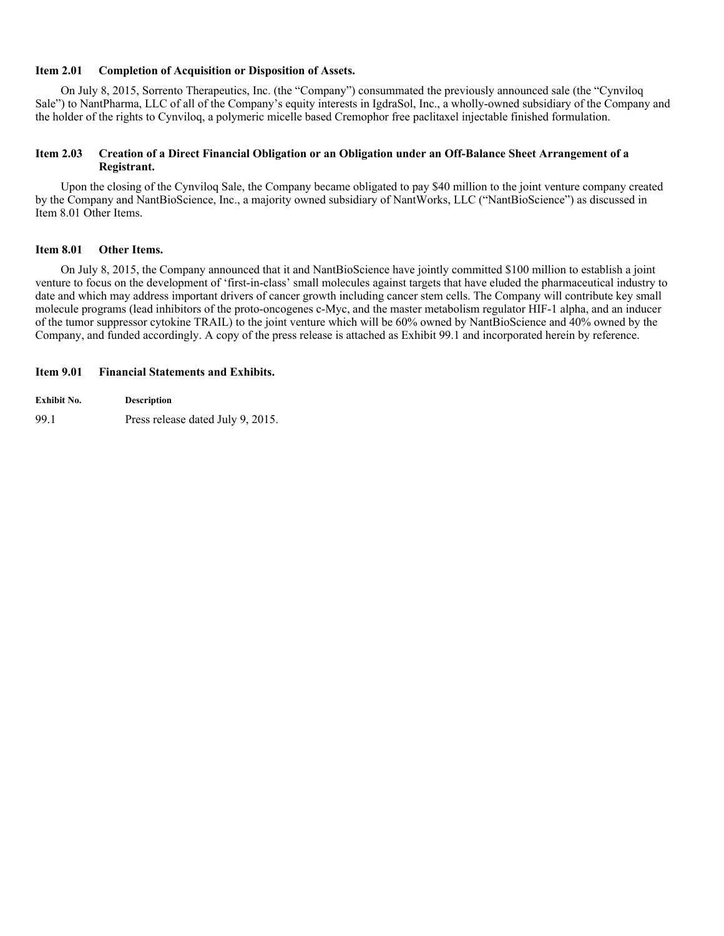# **Item 2.01 Completion of Acquisition or Disposition of Assets.**

On July 8, 2015, Sorrento Therapeutics, Inc. (the "Company") consummated the previously announced sale (the "Cynviloq Sale") to NantPharma, LLC of all of the Company's equity interests in IgdraSol, Inc., a wholly-owned subsidiary of the Company and the holder of the rights to Cynviloq, a polymeric micelle based Cremophor free paclitaxel injectable finished formulation.

## **Item 2.03 Creation of a Direct Financial Obligation or an Obligation under an Off-Balance Sheet Arrangement of a Registrant.**

Upon the closing of the Cynviloq Sale, the Company became obligated to pay \$40 million to the joint venture company created by the Company and NantBioScience, Inc., a majority owned subsidiary of NantWorks, LLC ("NantBioScience") as discussed in Item 8.01 Other Items.

# **Item 8.01 Other Items.**

On July 8, 2015, the Company announced that it and NantBioScience have jointly committed \$100 million to establish a joint venture to focus on the development of 'first-in-class' small molecules against targets that have eluded the pharmaceutical industry to date and which may address important drivers of cancer growth including cancer stem cells. The Company will contribute key small molecule programs (lead inhibitors of the proto-oncogenes c-Myc, and the master metabolism regulator HIF-1 alpha, and an inducer of the tumor suppressor cytokine TRAIL) to the joint venture which will be 60% owned by NantBioScience and 40% owned by the Company, and funded accordingly. A copy of the press release is attached as Exhibit 99.1 and incorporated herein by reference.

# **Item 9.01 Financial Statements and Exhibits.**

**Exhibit No. Description** 99.1 Press release dated July 9, 2015.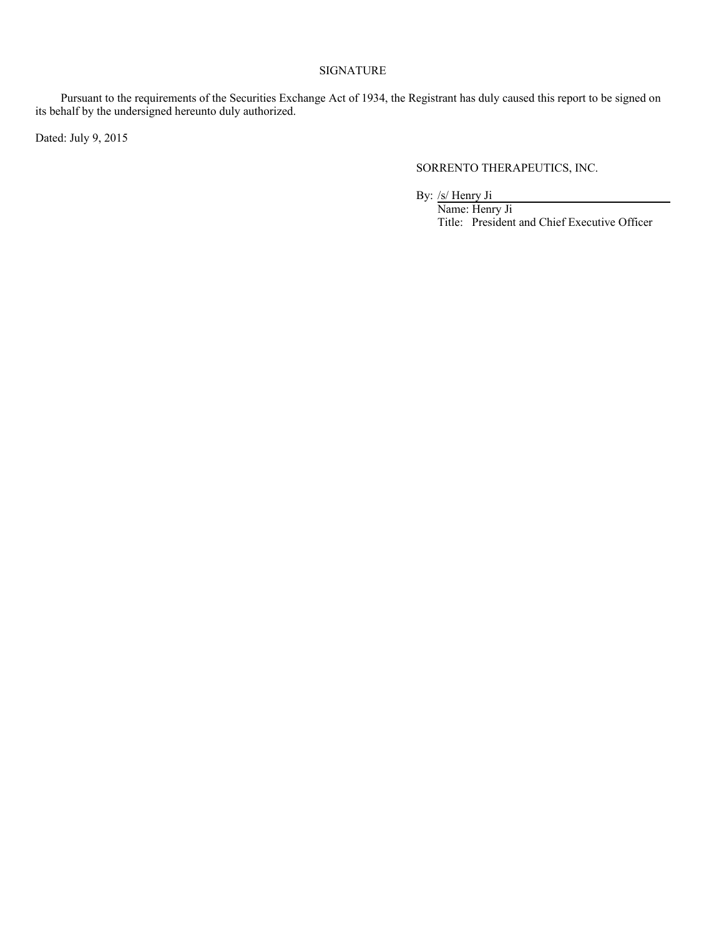# SIGNATURE

Pursuant to the requirements of the Securities Exchange Act of 1934, the Registrant has duly caused this report to be signed on its behalf by the undersigned hereunto duly authorized.

Dated: July 9, 2015

SORRENTO THERAPEUTICS, INC.

By: /s/ Henry Ji

Name: Henry Ji Title: President and Chief Executive Officer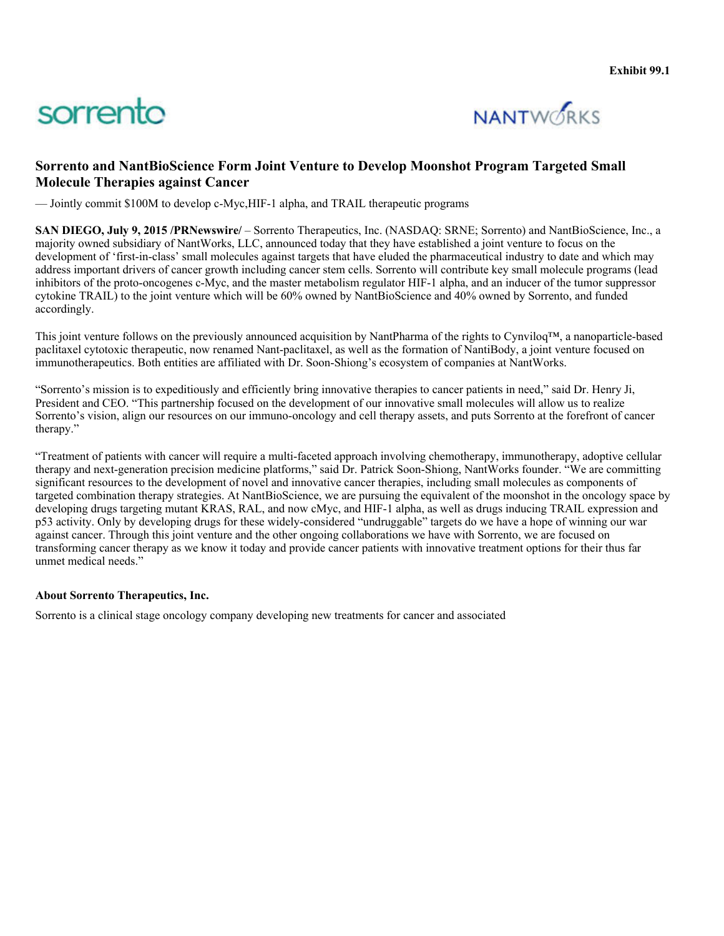# sorrento



# **Sorrento and NantBioScience Form Joint Venture to Develop Moonshot Program Targeted Small Molecule Therapies against Cancer**

— Jointly commit \$100M to develop c-Myc,HIF-1 alpha, and TRAIL therapeutic programs

**SAN DIEGO, July 9, 2015 /PRNewswire/** – Sorrento Therapeutics, Inc. (NASDAQ: SRNE; Sorrento) and NantBioScience, Inc., a majority owned subsidiary of NantWorks, LLC, announced today that they have established a joint venture to focus on the development of 'first-in-class' small molecules against targets that have eluded the pharmaceutical industry to date and which may address important drivers of cancer growth including cancer stem cells. Sorrento will contribute key small molecule programs (lead inhibitors of the proto-oncogenes c-Myc, and the master metabolism regulator HIF-1 alpha, and an inducer of the tumor suppressor cytokine TRAIL) to the joint venture which will be 60% owned by NantBioScience and 40% owned by Sorrento, and funded accordingly.

This joint venture follows on the previously announced acquisition by NantPharma of the rights to Cynviloq™, a nanoparticle-based paclitaxel cytotoxic therapeutic, now renamed Nant-paclitaxel, as well as the formation of NantiBody, a joint venture focused on immunotherapeutics. Both entities are affiliated with Dr. Soon-Shiong's ecosystem of companies at NantWorks.

"Sorrento's mission is to expeditiously and efficiently bring innovative therapies to cancer patients in need," said Dr. Henry Ji, President and CEO. "This partnership focused on the development of our innovative small molecules will allow us to realize Sorrento's vision, align our resources on our immuno-oncology and cell therapy assets, and puts Sorrento at the forefront of cancer therapy."

"Treatment of patients with cancer will require a multi-faceted approach involving chemotherapy, immunotherapy, adoptive cellular therapy and next-generation precision medicine platforms," said Dr. Patrick Soon-Shiong, NantWorks founder. "We are committing significant resources to the development of novel and innovative cancer therapies, including small molecules as components of targeted combination therapy strategies. At NantBioScience, we are pursuing the equivalent of the moonshot in the oncology space by developing drugs targeting mutant KRAS, RAL, and now cMyc, and HIF-1 alpha, as well as drugs inducing TRAIL expression and p53 activity. Only by developing drugs for these widely-considered "undruggable" targets do we have a hope of winning our war against cancer. Through this joint venture and the other ongoing collaborations we have with Sorrento, we are focused on transforming cancer therapy as we know it today and provide cancer patients with innovative treatment options for their thus far unmet medical needs."

# **About Sorrento Therapeutics, Inc.**

Sorrento is a clinical stage oncology company developing new treatments for cancer and associated